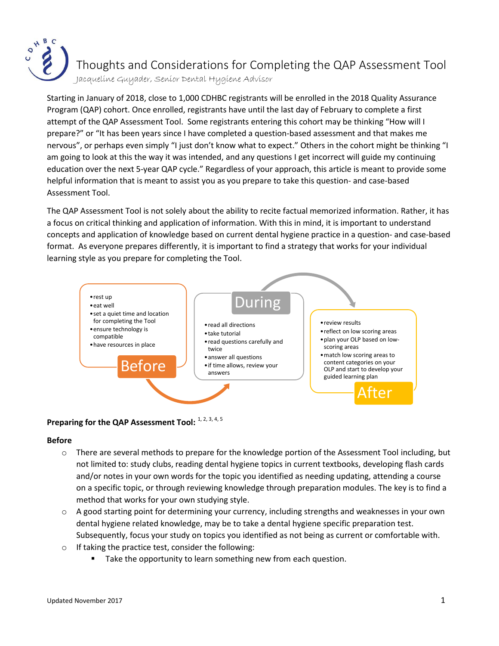

Thoughts and Considerations for Completing the QAP Assessment Tool

Jacqueline Guyader, Senior Dental Hygiene Advisor

Starting in January of 2018, close to 1,000 CDHBC registrants will be enrolled in the 2018 Quality Assurance Program (QAP) cohort. Once enrolled, registrants have until the last day of February to complete a first attempt of the QAP Assessment Tool. Some registrants entering this cohort may be thinking "How will I prepare?" or "It has been years since I have completed a question-based assessment and that makes me nervous", or perhaps even simply "I just don't know what to expect." Others in the cohort might be thinking "I am going to look at this the way it was intended, and any questions I get incorrect will guide my continuing education over the next 5-year QAP cycle." Regardless of your approach, this article is meant to provide some helpful information that is meant to assist you as you prepare to take this question- and case-based Assessment Tool.

The QAP Assessment Tool is not solely about the ability to recite factual memorized information. Rather, it has a focus on critical thinking and application of information. With this in mind, it is important to understand concepts and application of knowledge based on current dental hygiene practice in a question- and case-based format. As everyone prepares differently, it is important to find a strategy that works for your individual learning style as you prepare for completing the Tool.



## Preparing for the QAP Assessment Tool: 1, 2, 3, 4, 5

#### **Before**

- o There are several methods to prepare for the knowledge portion of the Assessment Tool including, but not limited to: study clubs, reading dental hygiene topics in current textbooks, developing flash cards and/or notes in your own words for the topic you identified as needing updating, attending a course on a specific topic, or through reviewing knowledge through preparation modules. The key is to find a method that works for your own studying style.
- o A good starting point for determining your currency, including strengths and weaknesses in your own dental hygiene related knowledge, may be to take a dental hygiene specific preparation test. Subsequently, focus your study on topics you identified as not being as current or comfortable with.
- o If taking the practice test, consider the following:
	- Take the opportunity to learn something new from each question.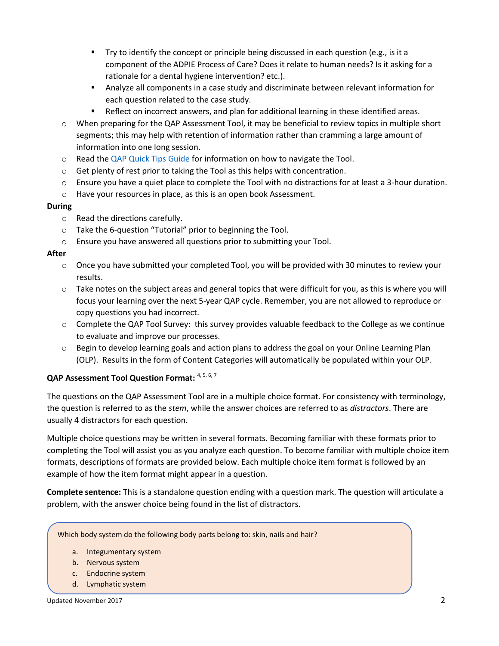- Try to identify the concept or principle being discussed in each question (e.g., is it a component of the ADPIE Process of Care? Does it relate to human needs? Is it asking for a rationale for a dental hygiene intervention? etc.).
- Analyze all components in a case study and discriminate between relevant information for each question related to the case study.
- **Reflect on incorrect answers, and plan for additional learning in these identified areas.**
- $\circ$  When preparing for the QAP Assessment Tool, it may be beneficial to review topics in multiple short segments; this may help with retention of information rather than cramming a large amount of information into one long session.
- o Read the [QAP Quick Tips](http://www.cdhbc.com/Professional-Development/Quality-Assurance/CDHBC_QAP_Quick_Tips_Dec11_2014.aspx) Guide for information on how to navigate the Tool.
- o Get plenty of rest prior to taking the Tool as this helps with concentration.
- $\circ$  Ensure you have a quiet place to complete the Tool with no distractions for at least a 3-hour duration.
- o Have your resources in place, as this is an open book Assessment.

### **During**

- o Read the directions carefully.
- o Take the 6-question "Tutorial" prior to beginning the Tool.
- o Ensure you have answered all questions prior to submitting your Tool.

### **After**

- o Once you have submitted your completed Tool, you will be provided with 30 minutes to review your results.
- $\circ$  Take notes on the subject areas and general topics that were difficult for you, as this is where you will focus your learning over the next 5-year QAP cycle. Remember, you are not allowed to reproduce or copy questions you had incorrect.
- $\circ$  Complete the QAP Tool Survey: this survey provides valuable feedback to the College as we continue to evaluate and improve our processes.
- o Begin to develop learning goals and action plans to address the goal on your Online Learning Plan (OLP). Results in the form of Content Categories will automatically be populated within your OLP.

# **QAP Assessment Tool Question Format:** 4, 5, 6, 7

The questions on the QAP Assessment Tool are in a multiple choice format. For consistency with terminology, the question is referred to as the *stem*, while the answer choices are referred to as *distractors*. There are usually 4 distractors for each question.

Multiple choice questions may be written in several formats. Becoming familiar with these formats prior to completing the Tool will assist you as you analyze each question. To become familiar with multiple choice item formats, descriptions of formats are provided below. Each multiple choice item format is followed by an example of how the item format might appear in a question.

**Complete sentence:** This is a standalone question ending with a question mark. The question will articulate a problem, with the answer choice being found in the list of distractors.

Which body system do the following body parts belong to: skin, nails and hair?

- a. Integumentary system
- b. Nervous system
- c. Endocrine system
- d. Lymphatic system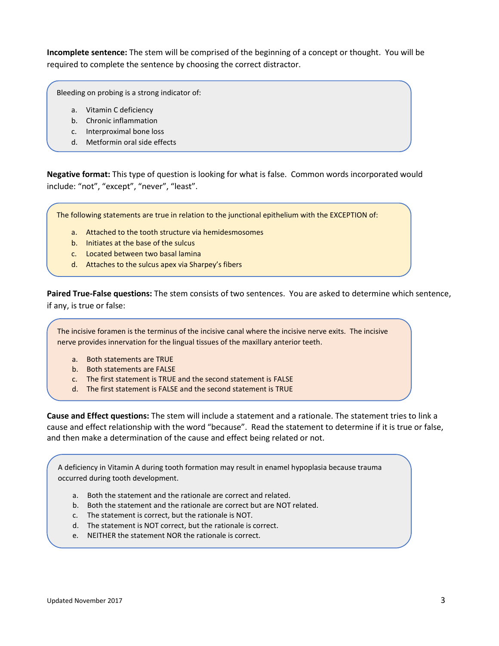**Incomplete sentence:** The stem will be comprised of the beginning of a concept or thought. You will be required to complete the sentence by choosing the correct distractor.

Bleeding on probing is a strong indicator of:

- a. Vitamin C deficiency
- b. Chronic inflammation
- c. Interproximal bone loss
- d. Metformin oral side effects

**Negative format:** This type of question is looking for what is false. Common words incorporated would include: "not", "except", "never", "least".

The following statements are true in relation to the junctional epithelium with the EXCEPTION of:

- a. Attached to the tooth structure via hemidesmosomes
- b. Initiates at the base of the sulcus
- c. Located between two basal lamina
- d. Attaches to the sulcus apex via Sharpey's fibers

**Paired True-False questions:** The stem consists of two sentences. You are asked to determine which sentence, if any, is true or false:

The incisive foramen is the terminus of the incisive canal where the incisive nerve exits. The incisive nerve provides innervation for the lingual tissues of the maxillary anterior teeth.

- a. Both statements are TRUE
- b. Both statements are FALSE
- c. The first statement is TRUE and the second statement is FALSE
- d. The first statement is FALSE and the second statement is TRUE

**Cause and Effect questions:** The stem will include a statement and a rationale. The statement tries to link a cause and effect relationship with the word "because". Read the statement to determine if it is true or false, and then make a determination of the cause and effect being related or not.

A deficiency in Vitamin A during tooth formation may result in enamel hypoplasia because trauma occurred during tooth development.

- a. Both the statement and the rationale are correct and related.
- b. Both the statement and the rationale are correct but are NOT related.
- c. The statement is correct, but the rationale is NOT.
- d. The statement is NOT correct, but the rationale is correct.
- e. NEITHER the statement NOR the rationale is correct.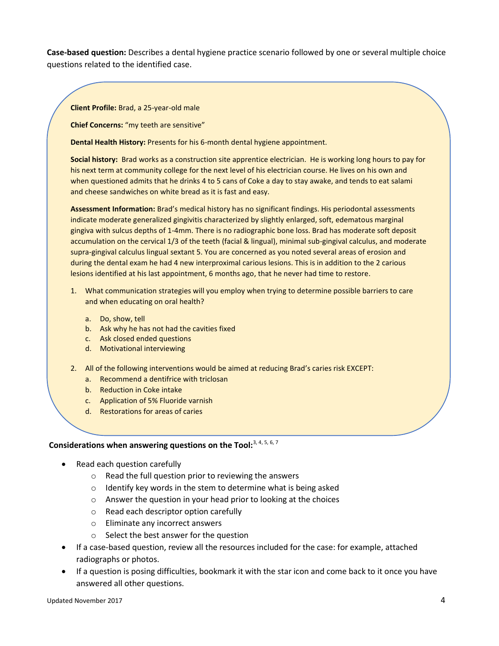**Case-based question:** Describes a dental hygiene practice scenario followed by one or several multiple choice questions related to the identified case.

**Client Profile:** Brad, a 25-year-old male

**Chief Concerns:** "my teeth are sensitive"

**Dental Health History:** Presents for his 6-month dental hygiene appointment.

**Social history:** Brad works as a construction site apprentice electrician. He is working long hours to pay for his next term at community college for the next level of his electrician course. He lives on his own and when questioned admits that he drinks 4 to 5 cans of Coke a day to stay awake, and tends to eat salami and cheese sandwiches on white bread as it is fast and easy.

**Assessment Information:** Brad's medical history has no significant findings. His periodontal assessments indicate moderate generalized gingivitis characterized by slightly enlarged, soft, edematous marginal gingiva with sulcus depths of 1-4mm. There is no radiographic bone loss. Brad has moderate soft deposit accumulation on the cervical 1/3 of the teeth (facial & lingual), minimal sub-gingival calculus, and moderate supra-gingival calculus lingual sextant 5. You are concerned as you noted several areas of erosion and during the dental exam he had 4 new interproximal carious lesions. This is in addition to the 2 carious lesions identified at his last appointment, 6 months ago, that he never had time to restore.

- 1. What communication strategies will you employ when trying to determine possible barriers to care and when educating on oral health?
	- a. Do, show, tell
	- b. Ask why he has not had the cavities fixed
	- c. Ask closed ended questions
	- d. Motivational interviewing
- 2. All of the following interventions would be aimed at reducing Brad's caries risk EXCEPT:
	- a. Recommend a dentifrice with triclosan
	- b. Reduction in Coke intake
	- c. Application of 5% Fluoride varnish
	- d. Restorations for areas of caries

# **Considerations when answering questions on the Tool:**3, 4, 5, 6, 7

- Read each question carefully
	- o Read the full question prior to reviewing the answers
	- o Identify key words in the stem to determine what is being asked
	- o Answer the question in your head prior to looking at the choices
	- o Read each descriptor option carefully
	- o Eliminate any incorrect answers
	- o Select the best answer for the question
- If a case-based question, review all the resources included for the case: for example, attached radiographs or photos.
- If a question is posing difficulties, bookmark it with the star icon and come back to it once you have answered all other questions.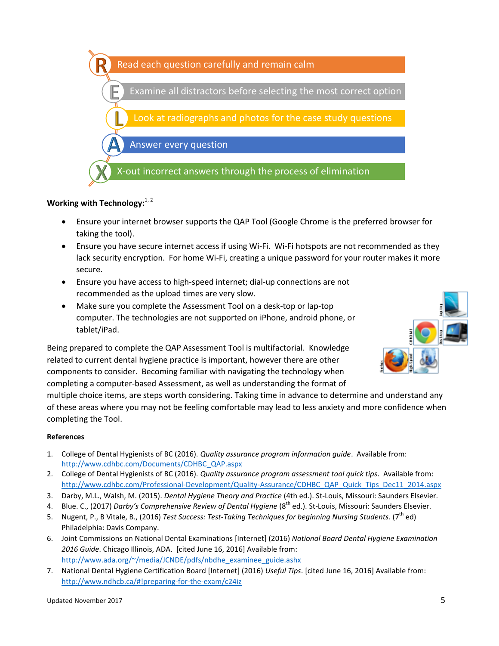

### Working with Technology:<sup>1, 2</sup>

- Ensure your internet browser supports the QAP Tool (Google Chrome is the preferred browser for taking the tool).
- Ensure you have secure internet access if using Wi-Fi. Wi-Fi hotspots are not recommended as they lack security encryption. For home Wi-Fi, creating a unique password for your router makes it more secure.
- Ensure you have access to high-speed internet; dial-up connections are not recommended as the upload times are very slow.
- Make sure you complete the Assessment Tool on a desk-top or lap-top computer. The technologies are not supported on iPhone, android phone, or tablet/iPad.

Being prepared to complete the QAP Assessment Tool is multifactorial. Knowledge related to current dental hygiene practice is important, however there are other components to consider. Becoming familiar with navigating the technology when completing a computer-based Assessment, as well as understanding the format of

multiple choice items, are steps worth considering. Taking time in advance to determine and understand any of these areas where you may not be feeling comfortable may lead to less anxiety and more confidence when completing the Tool.

#### **References**

- 1. College of Dental Hygienists of BC (2016). *Quality assurance program information guide*. Available from: [http://www.cdhbc.com/Documents/CDHBC\\_QAP.aspx](http://www.cdhbc.com/Documents/CDHBC_QAP.aspx)
- 2. College of Dental Hygienists of BC (2016). *Quality assurance program assessment tool quick tips*. Available from: [http://www.cdhbc.com/Professional-Development/Quality-Assurance/CDHBC\\_QAP\\_Quick\\_Tips\\_Dec11\\_2014.aspx](http://www.cdhbc.com/Professional-Development/Quality-Assurance/CDHBC_QAP_Quick_Tips_Dec11_2014.aspx)
- 3. Darby, M.L., Walsh, M. (2015). *Dental Hygiene Theory and Practice* (4th ed.). St-Louis, Missouri: Saunders Elsevier.
- 4. Blue. C., (2017) *Darby's Comprehensive Review of Dental Hygiene* (8th ed.). St-Louis, Missouri: Saunders Elsevier.
- 5. Nugent, P., B Vitale, B., (2016) *Test Success: Test-Taking Techniques for beginning Nursing Students*. (7<sup>th</sup> ed) Philadelphia: Davis Company.
- 6. Joint Commissions on National Dental Examinations [Internet] (2016) *National Board Dental Hygiene Examination 2016 Guide*. Chicago Illinois, ADA. [cited June 16, 2016] Available from: [http://www.ada.org/~/media/JCNDE/pdfs/nbdhe\\_examinee\\_guide.ashx](http://www.ada.org/~/media/JCNDE/pdfs/nbdhe_examinee_guide.ashx)
- 7. National Dental Hygiene Certification Board [Internet] (2016) *Useful Tips*. [cited June 16, 2016] Available from: <http://www.ndhcb.ca/#!preparing-for-the-exam/c24iz>